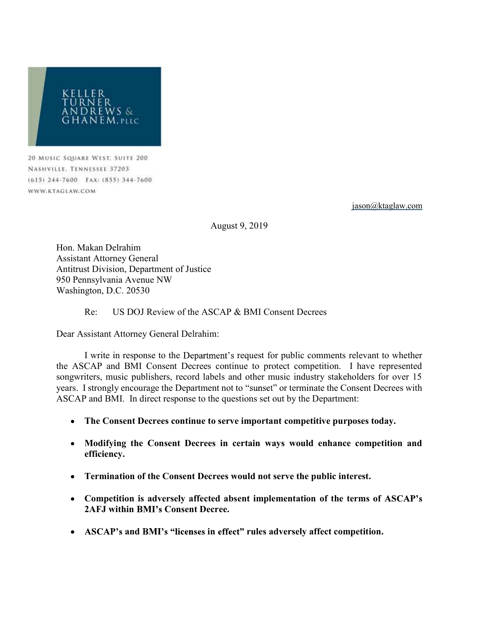

20 MUSIC SQUARE WEST, SUITE 200 NASHVILLE. TENNESSEE 37203 (615) 244-7600 FAX: (855) 344-7600 WWW.KTAGLAW.COM

jason@ktaglaw.com

August 9, 2019

Hon. Makan Delrahim Assistant Attorney General Antitrust Division, Department of Justice 950 Pennsylvania Avenue NW Washington, D.C. 20530

## Re: US DOJ Review of the ASCAP & BMI Consent Decrees

Dear Assistant Attorney General Delrahim:

I write in response to the Department's request for public comments relevant to whether the ASCAP and BMI Consent Decrees continue to protect competition. I have represented songwriters, music publishers, record labels and other music industry stakeholders for over 15 years. I strongly encourage the Department not to "sunset" or terminate the Consent Decrees with ASCAP and BMI. In direct response to the questions set out by the Department:

- The Consent Decrees continue to serve important competitive purposes today.
- Modifying the Consent Decrees in certain ways would enhance competition and efficiency.
- Termination of the Consent Decrees would not serve the public interest.
- Competition is adversely affected absent implementation of the terms of ASCAP's 2AFJ within BMI's Consent Decree.
- ASCAP's and BMI's "licenses in effect" rules adversely affect competition.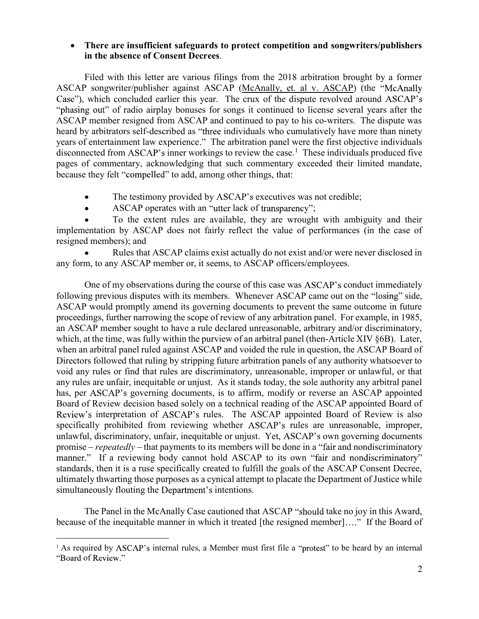## There are insufficient safeguards to protect competition and songwriters/publishers in the absence of Consent Decrees.

Filed with this letter are various filings from the 2018 arbitration brought by a former ASCAP songwriter/publisher against ASCAP (McAnally, et. al v. ASCAP) (the Case"), which concluded earlier this year. The crux of the dispute revolved around ASCAP's "phasing out" of radio airplay bonuses for songs it continued to license several years after the ASCAP member resigned from ASCAP and continued to pay to his co-writers. The dispute was heard by arbitrators self-described as "three individuals who cumulatively have more than ninety years of entertainment law experience." The arbitration panel were the first objective individuals disconnected from ASCAP's inner workings to review the case.<sup>1</sup> These individuals produced five pages of commentary, acknowledging that such commentary exceeded their limited mandate, because they felt "compelled" to add, among other things, that:

- The testimony provided by ASCAP's executives was not credible;
- ASCAP operates with an "utter lack of transparency";  $\bullet$

To the extent rules are available, they are wrought with ambiguity and their implementation by ASCAP does not fairly reflect the value of performances (in the case of resigned members); and

Rules that ASCAP claims exist actually do not exist and/or were never disclosed in any form, to any ASCAP member or, it seems, to ASCAP officers/employees.

One of my observations during the course of this case was ASCAP's conduct immediately following previous disputes with its members. Whenever ASCAP came out on the "losing" side, ASCAP would promptly amend its governing documents to prevent the same outcome in future proceedings, further narrowing the scope of review of any arbitration panel. For example, in 1985, an ASCAP member sought to have a rule declared unreasonable, arbitrary and/or discriminatory, which, at the time, was fully within the purview of an arbitral panel (then-Article XIV §6B). Later, when an arbitral panel ruled against ASCAP and voided the rule in question, the ASCAP Board of Directors followed that ruling by stripping future arbitration panels of any authority whatsoever to void any rules or find that rules are discriminatory, unreasonable, improper or unlawful, or that any rules are unfair, inequitable or unjust. As it stands today, the sole authority any arbitral panel has, per ASCAP's governing documents, is to affirm, modify or reverse an ASCAP appointed Board of Review decision based solely on a technical reading of the ASCAP appointed Board of Review's interpretation of ASCAP's rules. The ASCAP appointed Board of Review is also specifically prohibited from reviewing whether ASCAP's rules are unreasonable, improper, unlawful, discriminatory, unfair, inequitable or unjust. Yet, ASCAP's own governing documents promise  $-*repeatedly* - that payments to its members will be done in a "fair and nondiscriminatory"$ manner." If a reviewing body cannot hold ASCAP to its own "fair and nondiscriminatory" standards, then it is a ruse specifically created to fulfill the goals of the ASCAP Consent Decree, ultimately thwarting those purposes as a cynical attempt to placate the Department of Justice while simultaneously flouting the Department's intentions.

The Panel in the McAnally Case cautioned that ASCAP "should take no joy in this Award, because of the inequitable manner in which it treated [the resigned member]...." If the Board of

 $\overline{a}$ 

 $<sup>1</sup>$  As required by ASCAP's internal rules, a Member must first file a "protest" to be heard by an internal</sup> "Board of Review."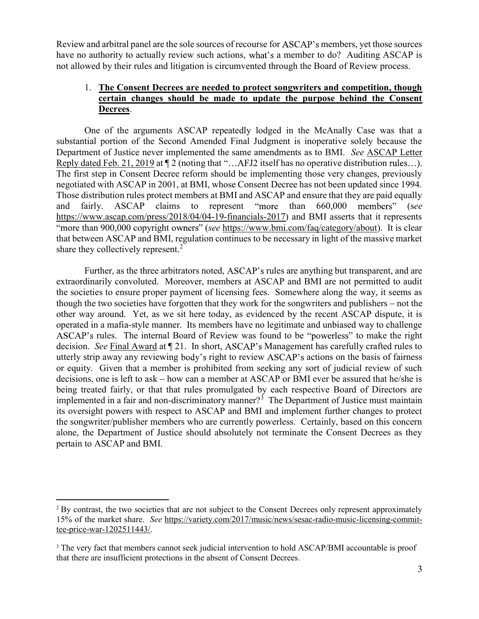Review and arbitral panel are the sole sources of recourse for ASCAP's members, yet those sources have no authority to actually review such actions, what's a member to do? Auditing ASCAP is not allowed by their rules and litigation is circumvented through the Board of Review process.

## 1. The Consent Decrees are needed to protect songwriters and competition, though certain changes should be made to update the purpose behind the Consent Decrees.

One of the arguments ASCAP repeatedly lodged in the McAnally Case was that a substantial portion of the Second Amended Final Judgment is inoperative solely because the Department of Justice never implemented the same amendments as to BMI. See ASCAP Letter Reply dated Feb. 21, 2019 at  $\P$  2 (noting that "...AFJ2 itself has no operative distribution rules...). The first step in Consent Decree reform should be implementing those very changes, previously negotiated with ASCAP in 2001, at BMI, whose Consent Decree has not been updated since 1994. Those distribution rules protect members at BMI and ASCAP and ensure that they are paid equally and fairly. ASCAP claims to represent "more than 660,000 members" (see https://www.ascap.com/press/2018/04/04-19-financials-2017) and BMI asserts that it represents "more than 900,000 copyright owners" (see https://www.bmi.com/faq/category/about). It is clear that between ASCAP and BMI, regulation continues to be necessary in light of the massive market share they collectively represent.<sup>2</sup>

Further, as the three arbitrators noted, ASCAP's rules are anything but transparent, and are extraordinarily convoluted. Moreover, members at ASCAP and BMI are not permitted to audit the societies to ensure proper payment of licensing fees. Somewhere along the way, it seems as though the two societies have forgotten that they work for the songwriters and publishers – not the other way around. Yet, as we sit here today, as evidenced by the recent ASCAP dispute, it is operated in a mafia-style manner. Its members have no legitimate and unbiased way to challenge ASCAP's rules. The internal Board of Review was found to be "powerless" to make the right decision. See Final Award at ¶ 21. In short, ASCAP's Management has carefully crafted rules to utterly strip away any reviewing body's right to review ASCAP's actions on the basis of fairness or equity. Given that a member is prohibited from seeking any sort of judicial review of such decisions, one is left to ask – how can a member at ASCAP or BMI ever be assured that he/she is being treated fairly, or that that rules promulgated by each respective Board of Directors are implemented in a fair and non-discriminatory manner?<sup>3</sup> The Department of Justice must maintain its oversight powers with respect to ASCAP and BMI and implement further changes to protect the songwriter/publisher members who are currently powerless. Certainly, based on this concern alone, the Department of Justice should absolutely not terminate the Consent Decrees as they pertain to ASCAP and BMI.

 $\overline{a}$ 

<sup>&</sup>lt;sup>2</sup> By contrast, the two societies that are not subject to the Consent Decrees only represent approximately 15% of the market share. See https://variety.com/2017/music/news/sesac-radio-music-licensing-committee-price-war-1202511443/.

<sup>&</sup>lt;sup>3</sup> The very fact that members cannot seek judicial intervention to hold ASCAP/BMI accountable is proof that there are insufficient protections in the absent of Consent Decrees.